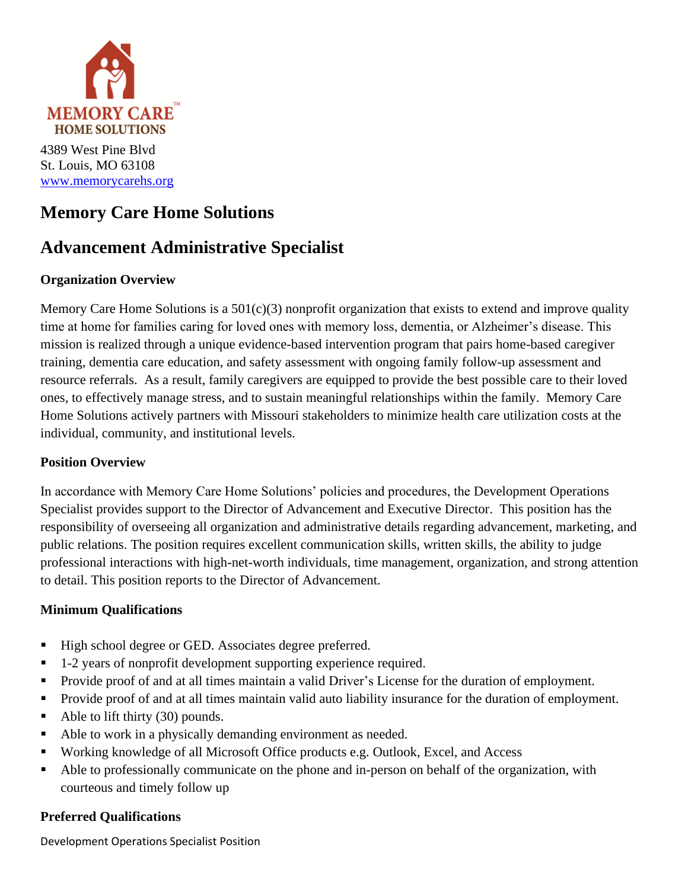

# **Memory Care Home Solutions**

# **Advancement Administrative Specialist**

### **Organization Overview**

Memory Care Home Solutions is a 501(c)(3) nonprofit organization that exists to extend and improve quality time at home for families caring for loved ones with memory loss, dementia, or Alzheimer's disease. This mission is realized through a unique evidence-based intervention program that pairs home-based caregiver training, dementia care education, and safety assessment with ongoing family follow-up assessment and resource referrals. As a result, family caregivers are equipped to provide the best possible care to their loved ones, to effectively manage stress, and to sustain meaningful relationships within the family. Memory Care Home Solutions actively partners with Missouri stakeholders to minimize health care utilization costs at the individual, community, and institutional levels.

### **Position Overview**

In accordance with Memory Care Home Solutions' policies and procedures, the Development Operations Specialist provides support to the Director of Advancement and Executive Director. This position has the responsibility of overseeing all organization and administrative details regarding advancement, marketing, and public relations. The position requires excellent communication skills, written skills, the ability to judge professional interactions with high-net-worth individuals, time management, organization, and strong attention to detail. This position reports to the Director of Advancement.

### **Minimum Qualifications**

- High school degree or GED. Associates degree preferred.
- 1-2 years of nonprofit development supporting experience required.
- Provide proof of and at all times maintain a valid Driver's License for the duration of employment.
- Provide proof of and at all times maintain valid auto liability insurance for the duration of employment.
- $\blacksquare$  Able to lift thirty (30) pounds.
- Able to work in a physically demanding environment as needed.
- Working knowledge of all Microsoft Office products e.g. Outlook, Excel, and Access
- Able to professionally communicate on the phone and in-person on behalf of the organization, with courteous and timely follow up

### **Preferred Qualifications**

Development Operations Specialist Position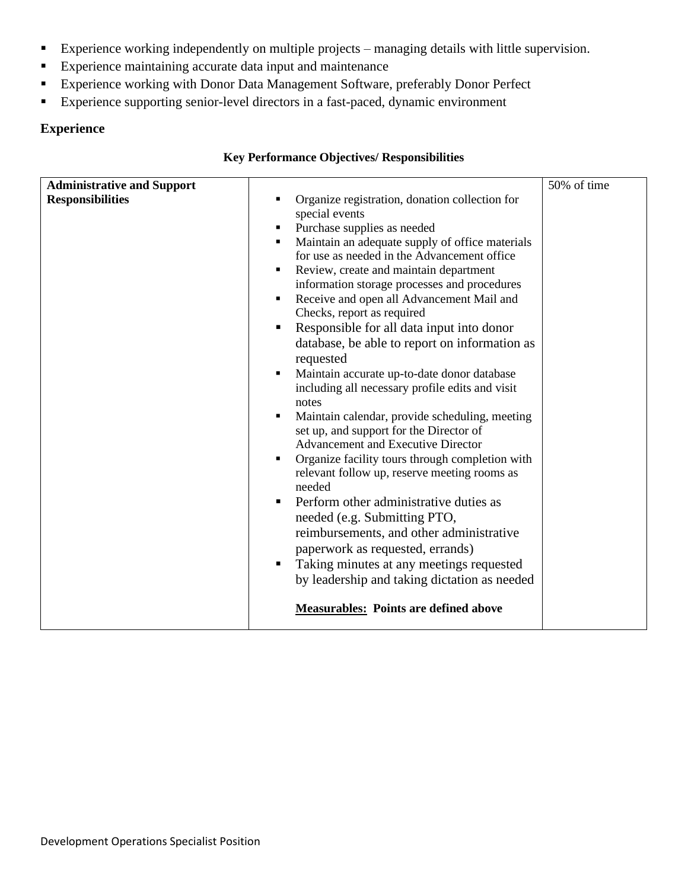- Experience working independently on multiple projects managing details with little supervision.
- Experience maintaining accurate data input and maintenance
- Experience working with Donor Data Management Software, preferably Donor Perfect
- Experience supporting senior-level directors in a fast-paced, dynamic environment

#### **Experience**

| <b>Administrative and Support</b> |                                                                                                                                                                                                                                                                                                                                                                                                                                                                                                                                                                                                                                                                                                                                                                                                                                                                                                                                                                                                                                                                                                                                                                | 50% of time |
|-----------------------------------|----------------------------------------------------------------------------------------------------------------------------------------------------------------------------------------------------------------------------------------------------------------------------------------------------------------------------------------------------------------------------------------------------------------------------------------------------------------------------------------------------------------------------------------------------------------------------------------------------------------------------------------------------------------------------------------------------------------------------------------------------------------------------------------------------------------------------------------------------------------------------------------------------------------------------------------------------------------------------------------------------------------------------------------------------------------------------------------------------------------------------------------------------------------|-------------|
| <b>Responsibilities</b>           | Organize registration, donation collection for<br>special events<br>Purchase supplies as needed<br>Maintain an adequate supply of office materials<br>٠<br>for use as needed in the Advancement office<br>Review, create and maintain department<br>information storage processes and procedures<br>Receive and open all Advancement Mail and<br>Checks, report as required<br>Responsible for all data input into donor<br>database, be able to report on information as<br>requested<br>Maintain accurate up-to-date donor database<br>including all necessary profile edits and visit<br>notes<br>Maintain calendar, provide scheduling, meeting<br>set up, and support for the Director of<br><b>Advancement and Executive Director</b><br>Organize facility tours through completion with<br>relevant follow up, reserve meeting rooms as<br>needed<br>Perform other administrative duties as<br>needed (e.g. Submitting PTO,<br>reimbursements, and other administrative<br>paperwork as requested, errands)<br>Taking minutes at any meetings requested<br>by leadership and taking dictation as needed<br><b>Measurables:</b> Points are defined above |             |

#### **Key Performance Objectives/ Responsibilities**